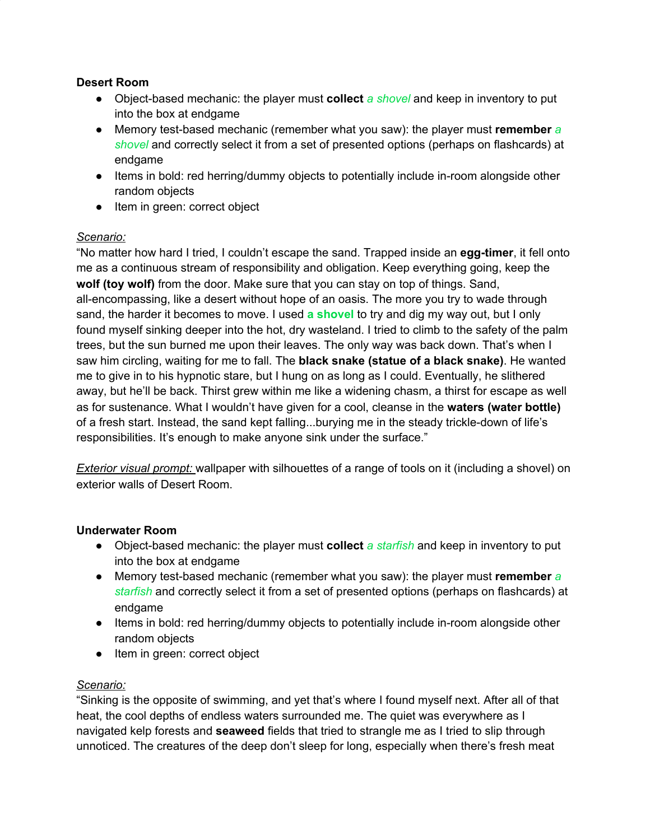## **Desert Room**

- Object-based mechanic: the player must **collect** *a shovel* and keep in inventory to put into the box at endgame
- Memory test-based mechanic (remember what you saw): the player must **remember** *a shovel* and correctly select it from a set of presented options (perhaps on flashcards) at endgame
- Items in bold: red herring/dummy objects to potentially include in-room alongside other random objects
- Item in green: correct object

## *Scenario:*

"No matter how hard I tried, I couldn't escape the sand. Trapped inside an **egg-timer**, it fell onto me as a continuous stream of responsibility and obligation. Keep everything going, keep the **wolf (toy wolf)** from the door. Make sure that you can stay on top of things. Sand, all-encompassing, like a desert without hope of an oasis. The more you try to wade through sand, the harder it becomes to move. I used **a shovel** to try and dig my way out, but I only found myself sinking deeper into the hot, dry wasteland. I tried to climb to the safety of the palm trees, but the sun burned me upon their leaves. The only way was back down. That's when I saw him circling, waiting for me to fall. The **black snake (statue of a black snake)**. He wanted me to give in to his hypnotic stare, but I hung on as long as I could. Eventually, he slithered away, but he'll be back. Thirst grew within me like a widening chasm, a thirst for escape as well as for sustenance. What I wouldn't have given for a cool, cleanse in the **waters (water bottle)** of a fresh start. Instead, the sand kept falling...burying me in the steady trickle-down of life's responsibilities. It's enough to make anyone sink under the surface."

*Exterior visual prompt:* wallpaper with silhouettes of a range of tools on it (including a shovel) on exterior walls of Desert Room.

## **Underwater Room**

- Object-based mechanic: the player must **collect** *a starfish* and keep in inventory to put into the box at endgame
- Memory test-based mechanic (remember what you saw): the player must **remember** *a starfish* and correctly select it from a set of presented options (perhaps on flashcards) at endgame
- Items in bold: red herring/dummy objects to potentially include in-room alongside other random objects
- Item in green: correct object

## *Scenario:*

"Sinking is the opposite of swimming, and yet that's where I found myself next. After all of that heat, the cool depths of endless waters surrounded me. The quiet was everywhere as I navigated kelp forests and **seaweed** fields that tried to strangle me as I tried to slip through unnoticed. The creatures of the deep don't sleep for long, especially when there's fresh meat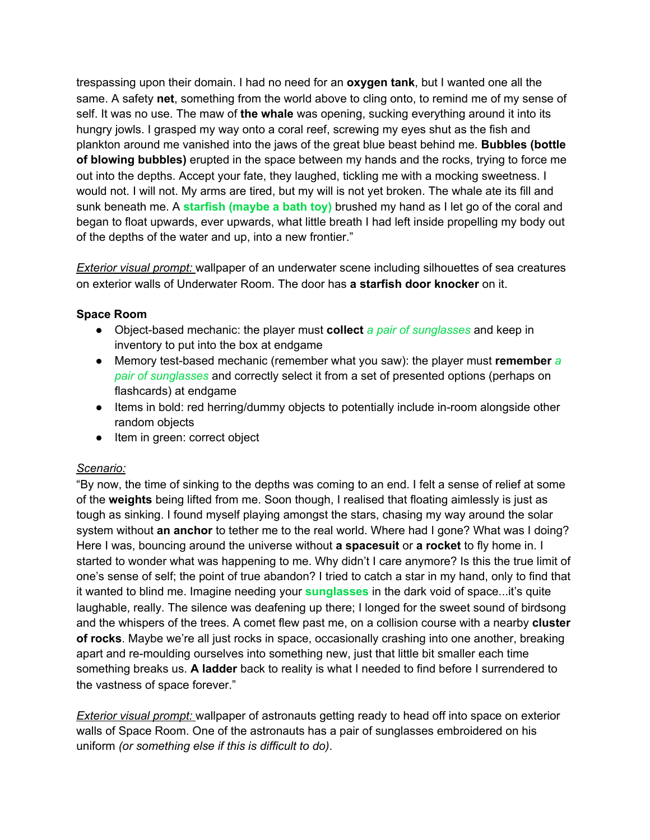trespassing upon their domain. I had no need for an **oxygen tank**, but I wanted one all the same. A safety **net**, something from the world above to cling onto, to remind me of my sense of self. It was no use. The maw of **the whale** was opening, sucking everything around it into its hungry jowls. I grasped my way onto a coral reef, screwing my eyes shut as the fish and plankton around me vanished into the jaws of the great blue beast behind me. **Bubbles (bottle of blowing bubbles)** erupted in the space between my hands and the rocks, trying to force me out into the depths. Accept your fate, they laughed, tickling me with a mocking sweetness. I would not. I will not. My arms are tired, but my will is not yet broken. The whale ate its fill and sunk beneath me. A **starfish (maybe a bath toy)** brushed my hand as I let go of the coral and began to float upwards, ever upwards, what little breath I had left inside propelling my body out of the depths of the water and up, into a new frontier."

*Exterior visual prompt:* wallpaper of an underwater scene including silhouettes of sea creatures on exterior walls of Underwater Room. The door has **a starfish door knocker** on it.

## **Space Room**

- Object-based mechanic: the player must **collect** *a pair of sunglasses* and keep in inventory to put into the box at endgame
- Memory test-based mechanic (remember what you saw): the player must **remember** *a pair of sunglasses* and correctly select it from a set of presented options (perhaps on flashcards) at endgame
- Items in bold: red herring/dummy objects to potentially include in-room alongside other random objects
- Item in green: correct object

#### *Scenario:*

"By now, the time of sinking to the depths was coming to an end. I felt a sense of relief at some of the **weights** being lifted from me. Soon though, I realised that floating aimlessly is just as tough as sinking. I found myself playing amongst the stars, chasing my way around the solar system without **an anchor** to tether me to the real world. Where had I gone? What was I doing? Here I was, bouncing around the universe without **a spacesuit** or **a rocket** to fly home in. I started to wonder what was happening to me. Why didn't I care anymore? Is this the true limit of one's sense of self; the point of true abandon? I tried to catch a star in my hand, only to find that it wanted to blind me. Imagine needing your **sunglasses** in the dark void of space...it's quite laughable, really. The silence was deafening up there; I longed for the sweet sound of birdsong and the whispers of the trees. A comet flew past me, on a collision course with a nearby **cluster of rocks**. Maybe we're all just rocks in space, occasionally crashing into one another, breaking apart and re-moulding ourselves into something new, just that little bit smaller each time something breaks us. **A ladder** back to reality is what I needed to find before I surrendered to the vastness of space forever."

*Exterior visual prompt:* wallpaper of astronauts getting ready to head off into space on exterior walls of Space Room. One of the astronauts has a pair of sunglasses embroidered on his uniform *(or something else if this is difficult to do)*.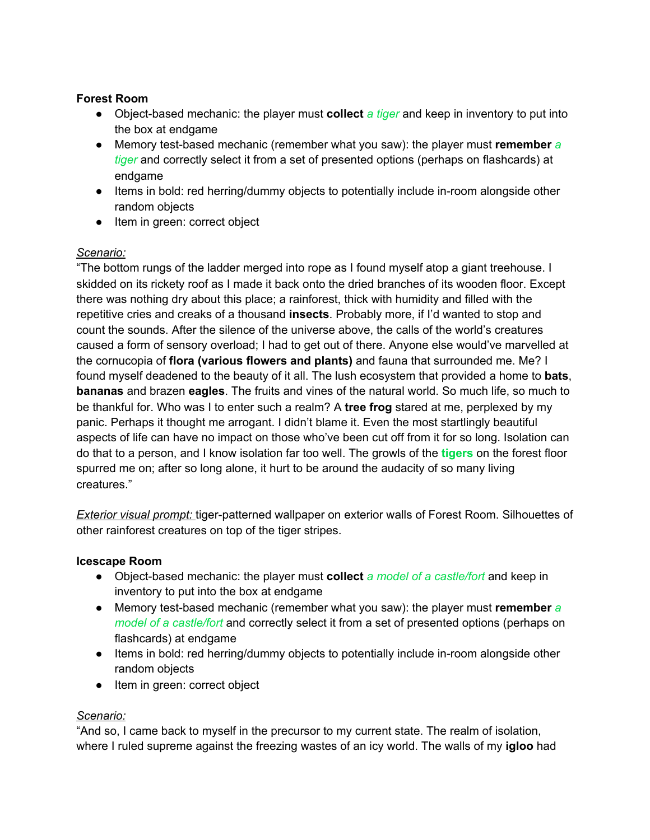## **Forest Room**

- Object-based mechanic: the player must **collect** *a tiger* and keep in inventory to put into the box at endgame
- Memory test-based mechanic (remember what you saw): the player must **remember** *a tiger* and correctly select it from a set of presented options (perhaps on flashcards) at endgame
- Items in bold: red herring/dummy objects to potentially include in-room alongside other random objects
- Item in green: correct object

# *Scenario:*

"The bottom rungs of the ladder merged into rope as I found myself atop a giant treehouse. I skidded on its rickety roof as I made it back onto the dried branches of its wooden floor. Except there was nothing dry about this place; a rainforest, thick with humidity and filled with the repetitive cries and creaks of a thousand **insects**. Probably more, if I'd wanted to stop and count the sounds. After the silence of the universe above, the calls of the world's creatures caused a form of sensory overload; I had to get out of there. Anyone else would've marvelled at the cornucopia of **flora (various flowers and plants)** and fauna that surrounded me. Me? I found myself deadened to the beauty of it all. The lush ecosystem that provided a home to **bats**, **bananas** and brazen **eagles**. The fruits and vines of the natural world. So much life, so much to be thankful for. Who was I to enter such a realm? A **tree frog** stared at me, perplexed by my panic. Perhaps it thought me arrogant. I didn't blame it. Even the most startlingly beautiful aspects of life can have no impact on those who've been cut off from it for so long. Isolation can do that to a person, and I know isolation far too well. The growls of the **tigers** on the forest floor spurred me on; after so long alone, it hurt to be around the audacity of so many living creatures."

*Exterior visual prompt:* tiger-patterned wallpaper on exterior walls of Forest Room. Silhouettes of other rainforest creatures on top of the tiger stripes.

## **Icescape Room**

- Object-based mechanic: the player must **collect** *a model of a castle/fort* and keep in inventory to put into the box at endgame
- Memory test-based mechanic (remember what you saw): the player must **remember** *a model of a castle/fort* and correctly select it from a set of presented options (perhaps on flashcards) at endgame
- Items in bold: red herring/dummy objects to potentially include in-room alongside other random objects
- Item in green: correct object

## *Scenario:*

"And so, I came back to myself in the precursor to my current state. The realm of isolation, where I ruled supreme against the freezing wastes of an icy world. The walls of my **igloo** had